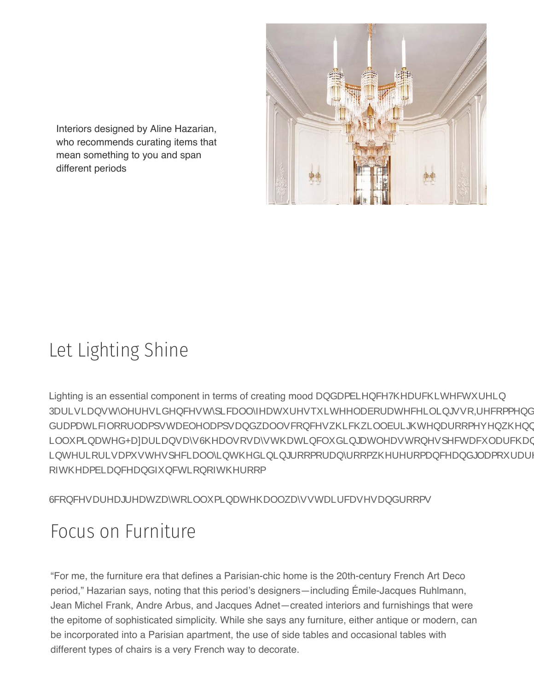Interiors designed by Aline Hazarian, who recommends curating items that mean something to you and span different periods

## Let Lighting Shine

Lighting is an essential component in terms of creating mood and ambience. The architecture in Parisian-style residences typically features quite elaborate ceilings, so I recommend incorporating dramatic floor lamps, table lamps, and wall sconces, which will brighten a room even when not illuminated, Hazarian says. She also says that including at least one spectacular chandelier in an interior is a must, especially in the dining room or any room where romance and glamour are part of the ambiance and function of the room.

Sconces are a great way to illuminate hallways, staircases, and rooms.

## Focus on Furniture

"For me, the furniture era that defines a Parisian-chic home is the 20th-century French Art Deco period," Hazarian says, noting that this period's designers—including Émile-Jacques Ruhlmann, Jean Michel Frank, Andre Arbus, and Jacques Adnet—created interiors and furnishings that were the epitome of sophisticated simplicity. While she says any furniture, either antique or modern, can be incorporated into a Parisian apartment, the use of side tables and occasional tables with [different types](#page-0-0) of chairs is a very French way to decorate.